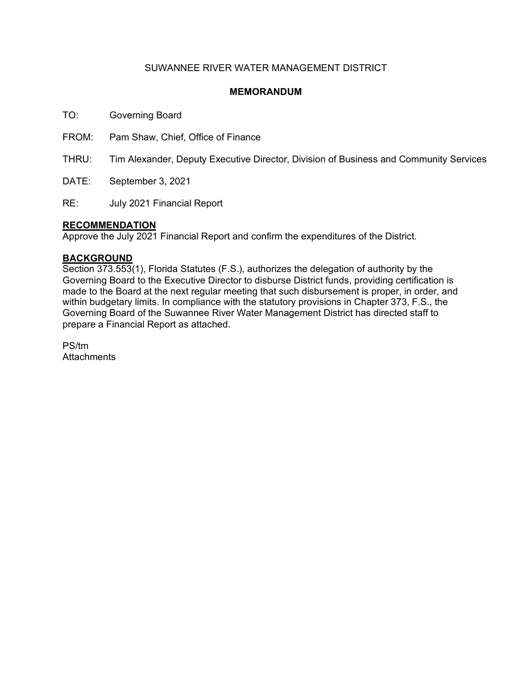# SUWANNEE RIVER WATER MANAGEMENT DISTRICT

## **MEMORANDUM**

TO: Governing Board

FROM: Pam Shaw, Chief, Office of Finance

THRU: Tim Alexander, Deputy Executive Director, Division of Business and Community Services

DATE: September 3, 2021

RE: July 2021 Financial Report

### **RECOMMENDATION**

Approve the July 2021 Financial Report and confirm the expenditures of the District.

### **BACKGROUND**

Section 373.553(1), Florida Statutes (F.S.), authorizes the delegation of authority by the Governing Board to the Executive Director to disburse District funds, providing certification is made to the Board at the next regular meeting that such disbursement is proper, in order, and within budgetary limits. In compliance with the statutory provisions in Chapter 373, F.S., the Governing Board of the Suwannee River Water Management District has directed staff to prepare a Financial Report as attached.

PS/tm **Attachments**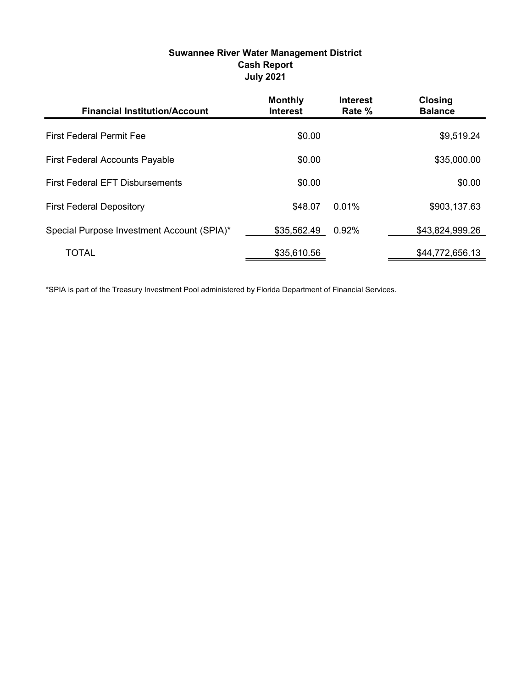# Suwannee River Water Management District Cash Report July 2021

| <b>Financial Institution/Account</b>       | <b>Monthly</b><br><b>Interest</b> | <b>Interest</b><br>Rate % | <b>Closing</b><br><b>Balance</b> |
|--------------------------------------------|-----------------------------------|---------------------------|----------------------------------|
| <b>First Federal Permit Fee</b>            | \$0.00                            |                           | \$9,519.24                       |
| <b>First Federal Accounts Payable</b>      | \$0.00                            |                           | \$35,000.00                      |
| <b>First Federal EFT Disbursements</b>     | \$0.00                            |                           | \$0.00                           |
| <b>First Federal Depository</b>            | \$48.07                           | $0.01\%$                  | \$903,137.63                     |
| Special Purpose Investment Account (SPIA)* | \$35,562.49                       | 0.92%                     | \$43,824,999.26                  |
| <b>TOTAL</b>                               | \$35,610.56                       |                           | \$44,772,656.13                  |

\*SPIA is part of the Treasury Investment Pool administered by Florida Department of Financial Services.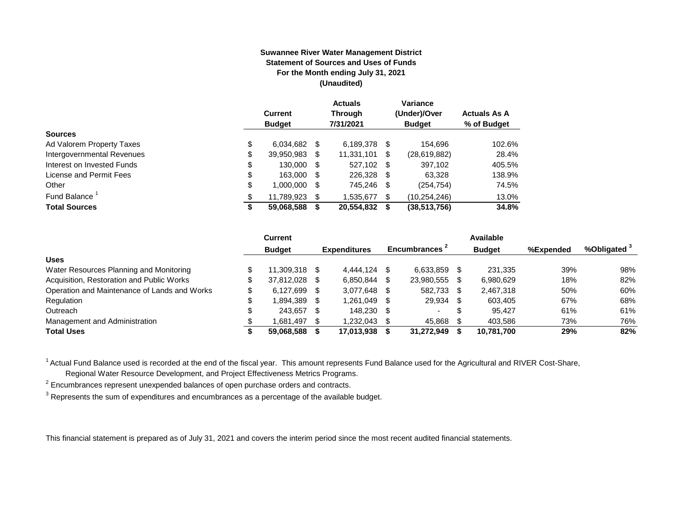#### **Suwannee River Water Management District Statement of Sources and Uses of Funds For the Month ending July 31, 2021 (Unaudited)**

|                                  | <b>Current</b><br><b>Budget</b> |      | <b>Actuals</b><br><b>Through</b><br>7/31/2021 |      | Variance<br>(Under)/Over<br><b>Budget</b> | <b>Actuals As A</b><br>% of Budget |
|----------------------------------|---------------------------------|------|-----------------------------------------------|------|-------------------------------------------|------------------------------------|
| <b>Sources</b>                   |                                 |      |                                               |      |                                           |                                    |
| \$<br>Ad Valorem Property Taxes  | 6,034,682                       | - \$ | 6,189,378                                     | S    | 154.696                                   | 102.6%                             |
| \$<br>Intergovernmental Revenues | 39,950,983                      | \$   | 11,331,101                                    | \$   | (28, 619, 882)                            | 28.4%                              |
| \$<br>Interest on Invested Funds | 130.000                         | - \$ | 527.102 \$                                    |      | 397,102                                   | 405.5%                             |
| \$<br>License and Permit Fees    | 163,000                         | - \$ | 226,328                                       | - \$ | 63,328                                    | 138.9%                             |
| \$<br>Other                      | 1.000.000                       | S    | 745.246                                       | S    | (254, 754)                                | 74.5%                              |
| Fund Balance <sup>1</sup>        | 11.789.923                      | S    | 1.535.677                                     | \$   | (10, 254, 246)                            | 13.0%                              |
| <b>Total Sources</b><br>\$       | 59,068,588                      |      | 20,554,832                                    | S    | (38,513,756)                              | 34.8%                              |

|                                              |    | Current       |      |                     |      |                | Available     |           |                         |
|----------------------------------------------|----|---------------|------|---------------------|------|----------------|---------------|-----------|-------------------------|
|                                              |    | <b>Budget</b> |      | <b>Expenditures</b> |      | Encumbrances - | <b>Budget</b> | %Expended | %Obligated <sup>3</sup> |
| <b>Uses</b>                                  |    |               |      |                     |      |                |               |           |                         |
| Water Resources Planning and Monitoring      |    | 11.309.318    | - \$ | 4.444.124           |      | 6.633.859      | 231.335       | 39%       | 98%                     |
| Acquisition, Restoration and Public Works    | Ф  | 37.812.028    | - \$ | 6.850.844           |      | 23.980.555     | 6,980,629     | 18%       | 82%                     |
| Operation and Maintenance of Lands and Works | \$ | 6.127.699     | - \$ | 3.077.648           |      | 582,733        | 2,467,318     | 50%       | 60%                     |
| Regulation                                   |    | 1,894,389     |      | 1,261,049           |      | 29,934         | 603,405       | 67%       | 68%                     |
| Outreach                                     |    | 243.657       | - \$ | 148.230             | - 35 |                | 95.427        | 61%       | 61%                     |
| Management and Administration                |    | 1.681.497     | - \$ | 1,232,043           |      | 45,868         | 403.586       | 73%       | 76%                     |
| <b>Total Uses</b>                            |    | 59,068,588    |      | 17.013.938          |      | 31,272,949     | 10,781,700    | 29%       | 82%                     |

<sup>1</sup> Actual Fund Balance used is recorded at the end of the fiscal year. This amount represents Fund Balance used for the Agricultural and RIVER Cost-Share,

Regional Water Resource Development, and Project Effectiveness Metrics Programs.

 $2$  Encumbrances represent unexpended balances of open purchase orders and contracts.

 $^3$  Represents the sum of expenditures and encumbrances as a percentage of the available budget.

This financial statement is prepared as of July 31, 2021 and covers the interim period since the most recent audited financial statements.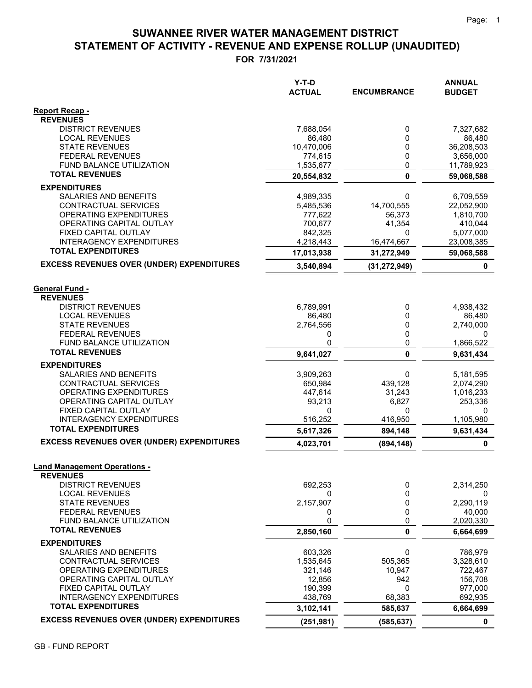# **STATEMENT OF ACTIVITY - REVENUE AND EXPENSE ROLLUP (UNAUDITED) SUWANNEE RIVER WATER MANAGEMENT DISTRICT**

**FOR 7/31/2021**

|                                                              | $Y-T-D$<br><b>ACTUAL</b> | <b>ENCUMBRANCE</b> | <b>ANNUAL</b><br><b>BUDGET</b> |
|--------------------------------------------------------------|--------------------------|--------------------|--------------------------------|
| <b>Report Recap -</b>                                        |                          |                    |                                |
| <b>REVENUES</b>                                              |                          |                    |                                |
| <b>DISTRICT REVENUES</b>                                     | 7,688,054                | 0                  | 7,327,682                      |
| <b>LOCAL REVENUES</b>                                        | 86,480                   | 0                  | 86,480                         |
| <b>STATE REVENUES</b>                                        | 10,470,006               | 0                  | 36,208,503                     |
| <b>FEDERAL REVENUES</b><br><b>FUND BALANCE UTILIZATION</b>   | 774,615                  | 0<br>0             | 3,656,000                      |
| <b>TOTAL REVENUES</b>                                        | 1,535,677<br>20,554,832  | $\mathbf{0}$       | 11,789,923<br>59,068,588       |
| <b>EXPENDITURES</b>                                          |                          |                    |                                |
| SALARIES AND BENEFITS                                        | 4,989,335                | 0                  | 6,709,559                      |
| <b>CONTRACTUAL SERVICES</b>                                  | 5,485,536                | 14,700,555         | 22,052,900                     |
| <b>OPERATING EXPENDITURES</b>                                | 777,622                  | 56,373             | 1,810,700                      |
| OPERATING CAPITAL OUTLAY                                     | 700,677                  | 41,354             | 410,044                        |
| FIXED CAPITAL OUTLAY                                         | 842,325                  | 0                  | 5,077,000                      |
| <b>INTERAGENCY EXPENDITURES</b><br><b>TOTAL EXPENDITURES</b> | 4,218,443                | 16,474,667         | 23,008,385                     |
|                                                              | 17,013,938               | 31,272,949         | 59,068,588                     |
| <b>EXCESS REVENUES OVER (UNDER) EXPENDITURES</b>             | 3,540,894                | (31, 272, 949)     | 0                              |
| <b>General Fund -</b>                                        |                          |                    |                                |
| <b>REVENUES</b>                                              |                          |                    |                                |
| <b>DISTRICT REVENUES</b>                                     | 6,789,991                | 0                  | 4,938,432                      |
| <b>LOCAL REVENUES</b>                                        | 86,480                   | 0                  | 86,480                         |
| <b>STATE REVENUES</b>                                        | 2,764,556                | 0                  | 2,740,000                      |
| <b>FEDERAL REVENUES</b>                                      | 0                        | 0                  | 0                              |
| FUND BALANCE UTILIZATION<br><b>TOTAL REVENUES</b>            | 0                        | 0<br>0             | 1,866,522                      |
|                                                              | 9,641,027                |                    | 9,631,434                      |
| <b>EXPENDITURES</b><br>SALARIES AND BENEFITS                 | 3,909,263                | 0                  | 5,181,595                      |
| CONTRACTUAL SERVICES                                         | 650,984                  | 439,128            | 2,074,290                      |
| OPERATING EXPENDITURES                                       | 447,614                  | 31,243             | 1,016,233                      |
| OPERATING CAPITAL OUTLAY                                     | 93,213                   | 6,827              | 253,336                        |
| FIXED CAPITAL OUTLAY                                         | 0                        | 0                  | 0                              |
| <b>INTERAGENCY EXPENDITURES</b><br><b>TOTAL EXPENDITURES</b> | 516,252                  | 416,950            | 1,105,980                      |
| <b>EXCESS REVENUES OVER (UNDER) EXPENDITURES</b>             | 5,617,326                | 894,148            | 9,631,434                      |
|                                                              | 4,023,701                | (894, 148)         | $\mathbf 0$                    |
| <b>Land Management Operations -</b>                          |                          |                    |                                |
| <b>REVENUES</b>                                              |                          |                    |                                |
| <b>DISTRICT REVENUES</b>                                     | 692,253                  | 0                  | 2,314,250                      |
| <b>LOCAL REVENUES</b><br><b>STATE REVENUES</b>               | 0                        | 0                  | 0                              |
| <b>FEDERAL REVENUES</b>                                      | 2,157,907<br>0           | 0<br>0             | 2,290,119<br>40,000            |
| FUND BALANCE UTILIZATION                                     | 0                        | 0                  | 2,020,330                      |
| <b>TOTAL REVENUES</b>                                        | 2,850,160                | 0                  | 6,664,699                      |
| <b>EXPENDITURES</b>                                          |                          |                    |                                |
| SALARIES AND BENEFITS                                        | 603,326                  | 0                  | 786,979                        |
| CONTRACTUAL SERVICES                                         | 1,535,645                | 505,365            | 3,328,610                      |
| OPERATING EXPENDITURES                                       | 321,146                  | 10,947             | 722,467                        |
| OPERATING CAPITAL OUTLAY                                     | 12,856                   | 942                | 156,708                        |
| FIXED CAPITAL OUTLAY                                         | 190,399                  | 0                  | 977,000                        |
| <b>INTERAGENCY EXPENDITURES</b><br><b>TOTAL EXPENDITURES</b> | 438,769<br>3,102,141     | 68,383<br>585,637  | 692,935<br>6,664,699           |
| <b>EXCESS REVENUES OVER (UNDER) EXPENDITURES</b>             | (251, 981)               | (585, 637)         | 0                              |
|                                                              |                          |                    |                                |